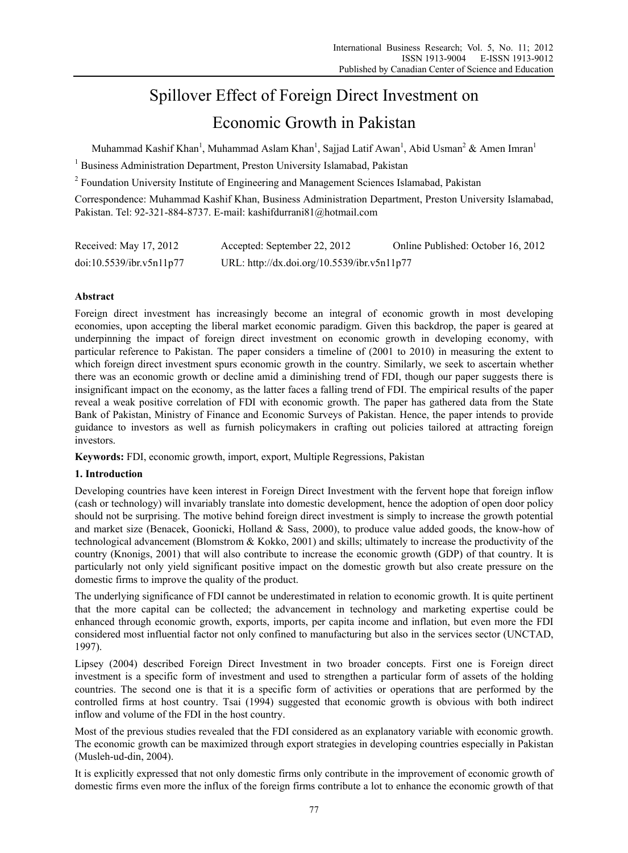# Spillover Effect of Foreign Direct Investment on

# Economic Growth in Pakistan

Muhammad Kashif Khan<sup>1</sup>, Muhammad Aslam Khan<sup>1</sup>, Sajjad Latif Awan<sup>1</sup>, Abid Usman<sup>2</sup> & Amen Imran<sup>1</sup>

<sup>1</sup> Business Administration Department, Preston University Islamabad, Pakistan

<sup>2</sup> Foundation University Institute of Engineering and Management Sciences Islamabad, Pakistan

Correspondence: Muhammad Kashif Khan, Business Administration Department, Preston University Islamabad, Pakistan. Tel: 92-321-884-8737. E-mail: kashifdurrani81@hotmail.com

| Received: May 17, 2012   | Accepted: September 22, 2012                | Online Published: October 16, 2012 |
|--------------------------|---------------------------------------------|------------------------------------|
| doi:10.5539/ibr.v5n11p77 | URL: http://dx.doi.org/10.5539/ibr.v5n11p77 |                                    |

## **Abstract**

Foreign direct investment has increasingly become an integral of economic growth in most developing economies, upon accepting the liberal market economic paradigm. Given this backdrop, the paper is geared at underpinning the impact of foreign direct investment on economic growth in developing economy, with particular reference to Pakistan. The paper considers a timeline of (2001 to 2010) in measuring the extent to which foreign direct investment spurs economic growth in the country. Similarly, we seek to ascertain whether there was an economic growth or decline amid a diminishing trend of FDI, though our paper suggests there is insignificant impact on the economy, as the latter faces a falling trend of FDI. The empirical results of the paper reveal a weak positive correlation of FDI with economic growth. The paper has gathered data from the State Bank of Pakistan, Ministry of Finance and Economic Surveys of Pakistan. Hence, the paper intends to provide guidance to investors as well as furnish policymakers in crafting out policies tailored at attracting foreign investors.

**Keywords:** FDI, economic growth, import, export, Multiple Regressions, Pakistan

### **1. Introduction**

Developing countries have keen interest in Foreign Direct Investment with the fervent hope that foreign inflow (cash or technology) will invariably translate into domestic development, hence the adoption of open door policy should not be surprising. The motive behind foreign direct investment is simply to increase the growth potential and market size (Benacek, Goonicki, Holland & Sass, 2000), to produce value added goods, the know-how of technological advancement (Blomstrom & Kokko, 2001) and skills; ultimately to increase the productivity of the country (Knonigs, 2001) that will also contribute to increase the economic growth (GDP) of that country. It is particularly not only yield significant positive impact on the domestic growth but also create pressure on the domestic firms to improve the quality of the product.

The underlying significance of FDI cannot be underestimated in relation to economic growth. It is quite pertinent that the more capital can be collected; the advancement in technology and marketing expertise could be enhanced through economic growth, exports, imports, per capita income and inflation, but even more the FDI considered most influential factor not only confined to manufacturing but also in the services sector (UNCTAD, 1997).

Lipsey (2004) described Foreign Direct Investment in two broader concepts. First one is Foreign direct investment is a specific form of investment and used to strengthen a particular form of assets of the holding countries. The second one is that it is a specific form of activities or operations that are performed by the controlled firms at host country. Tsai (1994) suggested that economic growth is obvious with both indirect inflow and volume of the FDI in the host country.

Most of the previous studies revealed that the FDI considered as an explanatory variable with economic growth. The economic growth can be maximized through export strategies in developing countries especially in Pakistan (Musleh-ud-din, 2004).

It is explicitly expressed that not only domestic firms only contribute in the improvement of economic growth of domestic firms even more the influx of the foreign firms contribute a lot to enhance the economic growth of that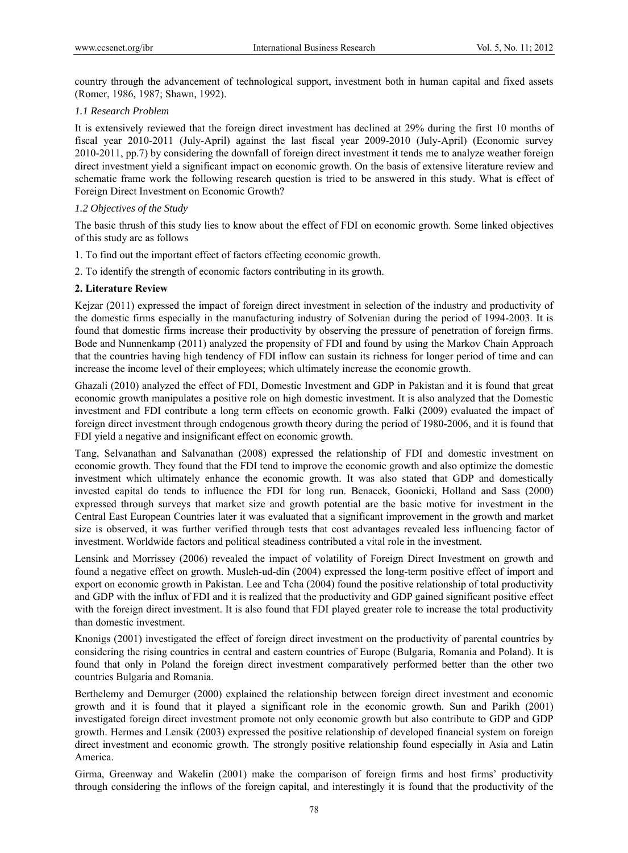country through the advancement of technological support, investment both in human capital and fixed assets (Romer, 1986, 1987; Shawn, 1992).

#### *1.1 Research Problem*

It is extensively reviewed that the foreign direct investment has declined at 29% during the first 10 months of fiscal year 2010-2011 (July-April) against the last fiscal year 2009-2010 (July-April) (Economic survey 2010-2011, pp.7) by considering the downfall of foreign direct investment it tends me to analyze weather foreign direct investment yield a significant impact on economic growth. On the basis of extensive literature review and schematic frame work the following research question is tried to be answered in this study. What is effect of Foreign Direct Investment on Economic Growth?

#### *1.2 Objectives of the Study*

The basic thrush of this study lies to know about the effect of FDI on economic growth. Some linked objectives of this study are as follows

- 1. To find out the important effect of factors effecting economic growth.
- 2. To identify the strength of economic factors contributing in its growth.

#### **2. Literature Review**

Kejzar (2011) expressed the impact of foreign direct investment in selection of the industry and productivity of the domestic firms especially in the manufacturing industry of Solvenian during the period of 1994-2003. It is found that domestic firms increase their productivity by observing the pressure of penetration of foreign firms. Bode and Nunnenkamp (2011) analyzed the propensity of FDI and found by using the Markov Chain Approach that the countries having high tendency of FDI inflow can sustain its richness for longer period of time and can increase the income level of their employees; which ultimately increase the economic growth.

Ghazali (2010) analyzed the effect of FDI, Domestic Investment and GDP in Pakistan and it is found that great economic growth manipulates a positive role on high domestic investment. It is also analyzed that the Domestic investment and FDI contribute a long term effects on economic growth. Falki (2009) evaluated the impact of foreign direct investment through endogenous growth theory during the period of 1980-2006, and it is found that FDI yield a negative and insignificant effect on economic growth.

Tang, Selvanathan and Salvanathan (2008) expressed the relationship of FDI and domestic investment on economic growth. They found that the FDI tend to improve the economic growth and also optimize the domestic investment which ultimately enhance the economic growth. It was also stated that GDP and domestically invested capital do tends to influence the FDI for long run. Benacek, Goonicki, Holland and Sass (2000) expressed through surveys that market size and growth potential are the basic motive for investment in the Central East European Countries later it was evaluated that a significant improvement in the growth and market size is observed, it was further verified through tests that cost advantages revealed less influencing factor of investment. Worldwide factors and political steadiness contributed a vital role in the investment.

Lensink and Morrissey (2006) revealed the impact of volatility of Foreign Direct Investment on growth and found a negative effect on growth. Musleh-ud-din (2004) expressed the long-term positive effect of import and export on economic growth in Pakistan. Lee and Tcha (2004) found the positive relationship of total productivity and GDP with the influx of FDI and it is realized that the productivity and GDP gained significant positive effect with the foreign direct investment. It is also found that FDI played greater role to increase the total productivity than domestic investment.

Knonigs (2001) investigated the effect of foreign direct investment on the productivity of parental countries by considering the rising countries in central and eastern countries of Europe (Bulgaria, Romania and Poland). It is found that only in Poland the foreign direct investment comparatively performed better than the other two countries Bulgaria and Romania.

Berthelemy and Demurger (2000) explained the relationship between foreign direct investment and economic growth and it is found that it played a significant role in the economic growth. Sun and Parikh (2001) investigated foreign direct investment promote not only economic growth but also contribute to GDP and GDP growth. Hermes and Lensik (2003) expressed the positive relationship of developed financial system on foreign direct investment and economic growth. The strongly positive relationship found especially in Asia and Latin America.

Girma, Greenway and Wakelin (2001) make the comparison of foreign firms and host firms' productivity through considering the inflows of the foreign capital, and interestingly it is found that the productivity of the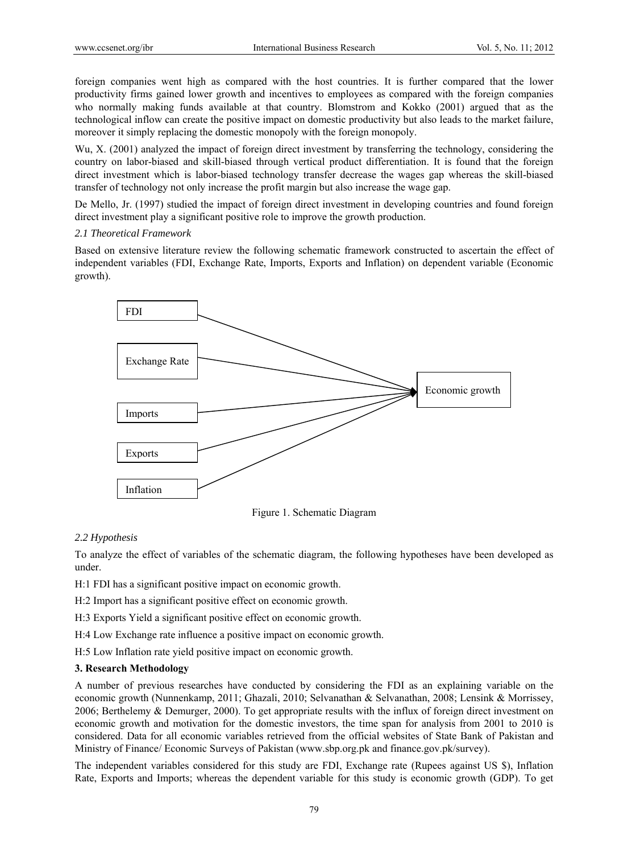foreign companies went high as compared with the host countries. It is further compared that the lower productivity firms gained lower growth and incentives to employees as compared with the foreign companies who normally making funds available at that country. Blomstrom and Kokko (2001) argued that as the technological inflow can create the positive impact on domestic productivity but also leads to the market failure, moreover it simply replacing the domestic monopoly with the foreign monopoly.

Wu, X. (2001) analyzed the impact of foreign direct investment by transferring the technology, considering the country on labor-biased and skill-biased through vertical product differentiation. It is found that the foreign direct investment which is labor-biased technology transfer decrease the wages gap whereas the skill-biased transfer of technology not only increase the profit margin but also increase the wage gap.

De Mello, Jr. (1997) studied the impact of foreign direct investment in developing countries and found foreign direct investment play a significant positive role to improve the growth production.

#### *2.1 Theoretical Framework*

Based on extensive literature review the following schematic framework constructed to ascertain the effect of independent variables (FDI, Exchange Rate, Imports, Exports and Inflation) on dependent variable (Economic growth).



Figure 1. Schematic Diagram

#### *2.2 Hypothesis*

To analyze the effect of variables of the schematic diagram, the following hypotheses have been developed as under.

H:1 FDI has a significant positive impact on economic growth.

H:2 Import has a significant positive effect on economic growth.

H:3 Exports Yield a significant positive effect on economic growth.

H:4 Low Exchange rate influence a positive impact on economic growth.

H:5 Low Inflation rate yield positive impact on economic growth.

#### **3. Research Methodology**

A number of previous researches have conducted by considering the FDI as an explaining variable on the economic growth (Nunnenkamp, 2011; Ghazali, 2010; Selvanathan & Selvanathan, 2008; Lensink & Morrissey, 2006; Berthelemy & Demurger, 2000). To get appropriate results with the influx of foreign direct investment on economic growth and motivation for the domestic investors, the time span for analysis from 2001 to 2010 is considered. Data for all economic variables retrieved from the official websites of State Bank of Pakistan and Ministry of Finance/ Economic Surveys of Pakistan (www.sbp.org.pk and finance.gov.pk/survey).

The independent variables considered for this study are FDI, Exchange rate (Rupees against US \$), Inflation Rate, Exports and Imports; whereas the dependent variable for this study is economic growth (GDP). To get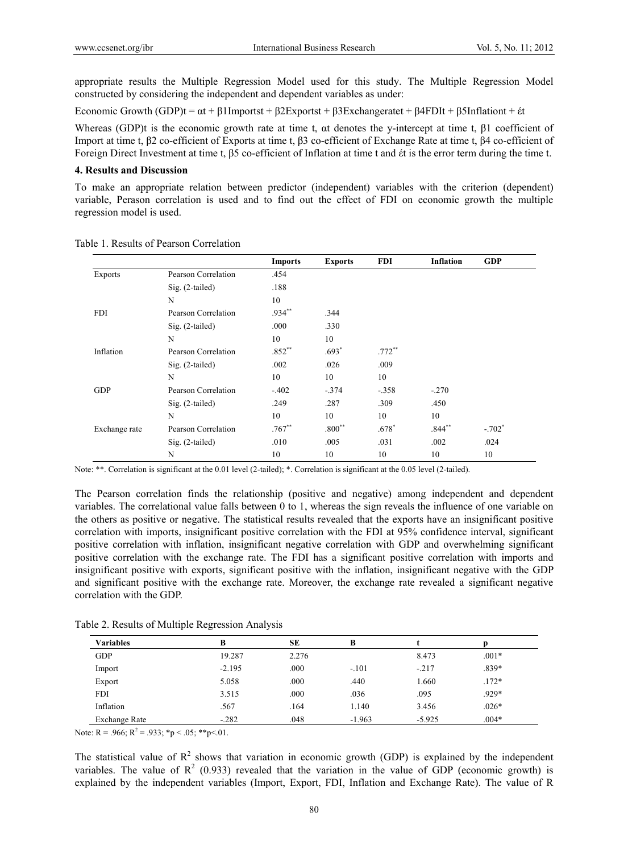appropriate results the Multiple Regression Model used for this study. The Multiple Regression Model constructed by considering the independent and dependent variables as under:

Economic Growth (GDP)t =  $\alpha$ t + β1Importst + β2Exportst + β3Exchangeratet + β4FDIt + β5Inflationt + έt

Whereas (GDP)t is the economic growth rate at time t, αt denotes the y-intercept at time t, β1 coefficient of Import at time t, β2 co-efficient of Exports at time t, β3 co-efficient of Exchange Rate at time t, β4 co-efficient of Foreign Direct Investment at time t, β5 co-efficient of Inflation at time t and έt is the error term during the time t.

#### **4. Results and Discussion**

To make an appropriate relation between predictor (independent) variables with the criterion (dependent) variable, Perason correlation is used and to find out the effect of FDI on economic growth the multiple regression model is used.

|                |                     | <b>Imports</b> | <b>Exports</b> | <b>FDI</b> | <b>Inflation</b> | <b>GDP</b> |
|----------------|---------------------|----------------|----------------|------------|------------------|------------|
| <b>Exports</b> | Pearson Correlation | .454           |                |            |                  |            |
|                | $Sig. (2-tailed)$   | .188           |                |            |                  |            |
|                | N                   | 10             |                |            |                  |            |
| <b>FDI</b>     | Pearson Correlation | .934**         | .344           |            |                  |            |
|                | $Sig. (2-tailed)$   | .000           | .330           |            |                  |            |
|                | N                   | 10             | 10             |            |                  |            |
| Inflation      | Pearson Correlation | $.852**$       | $.693*$        | $.772**$   |                  |            |
|                | $Sig. (2-tailed)$   | .002           | .026           | .009       |                  |            |
|                | N                   | 10             | 10             | 10         |                  |            |
| <b>GDP</b>     | Pearson Correlation | $-.402$        | $-.374$        | $-.358$    | $-.270$          |            |
|                | $Sig. (2-tailed)$   | .249           | .287           | .309       | .450             |            |
|                | N                   | 10             | 10             | 10         | 10               |            |
| Exchange rate  | Pearson Correlation | $.767**$       | $.800**$       | $.678*$    | $.844***$        | $-.702*$   |
|                | $Sig. (2-tailed)$   | .010           | .005           | .031       | .002             | .024       |
|                | N                   | 10             | 10             | 10         | 10               | 10         |

Table 1. Results of Pearson Correlation

Note: \*\*. Correlation is significant at the 0.01 level (2-tailed); \*. Correlation is significant at the 0.05 level (2-tailed).

The Pearson correlation finds the relationship (positive and negative) among independent and dependent variables. The correlational value falls between 0 to 1, whereas the sign reveals the influence of one variable on the others as positive or negative. The statistical results revealed that the exports have an insignificant positive correlation with imports, insignificant positive correlation with the FDI at 95% confidence interval, significant positive correlation with inflation, insignificant negative correlation with GDP and overwhelming significant positive correlation with the exchange rate. The FDI has a significant positive correlation with imports and insignificant positive with exports, significant positive with the inflation, insignificant negative with the GDP and significant positive with the exchange rate. Moreover, the exchange rate revealed a significant negative correlation with the GDP.

Table 2. Results of Multiple Regression Analysis

| <b>Variables</b>     | в        | SЕ    | B        |          |         |  |
|----------------------|----------|-------|----------|----------|---------|--|
| <b>GDP</b>           | 19.287   | 2.276 |          | 8.473    | $.001*$ |  |
| Import               | $-2.195$ | .000  | $-.101$  | $-.217$  | $.839*$ |  |
| Export               | 5.058    | .000  | .440     | 1.660    | $.172*$ |  |
| <b>FDI</b>           | 3.515    | .000  | .036     | .095     | .929*   |  |
| Inflation            | .567     | .164  | 1.140    | 3.456    | $.026*$ |  |
| <b>Exchange Rate</b> | $-.282$  | .048  | $-1.963$ | $-5.925$ | $.004*$ |  |

Note: R = .966; R<sup>2</sup> = .933; \*p < .05; \*\*p < .01.

The statistical value of  $R^2$  shows that variation in economic growth (GDP) is explained by the independent variables. The value of  $\mathbb{R}^2$  (0.933) revealed that the variation in the value of GDP (economic growth) is explained by the independent variables (Import, Export, FDI, Inflation and Exchange Rate). The value of R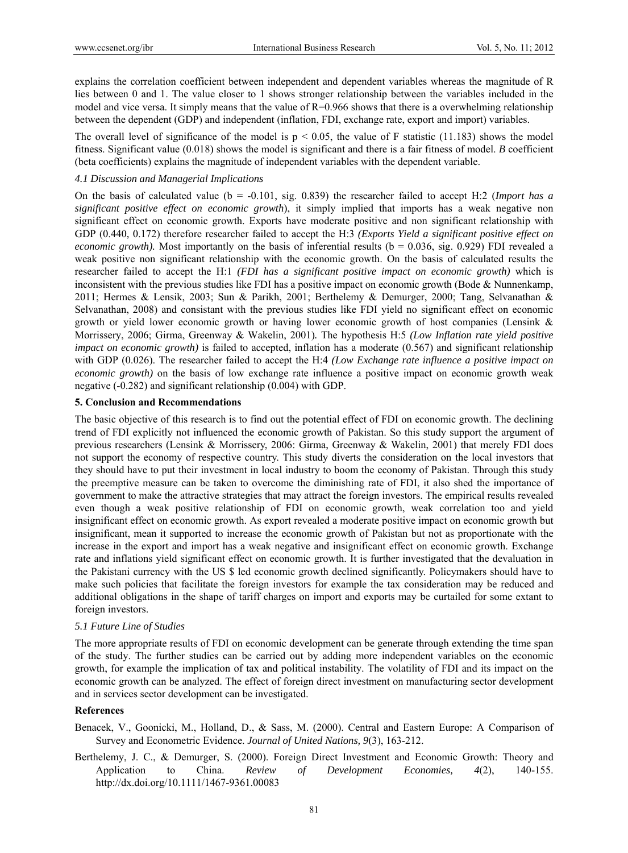explains the correlation coefficient between independent and dependent variables whereas the magnitude of R lies between 0 and 1. The value closer to 1 shows stronger relationship between the variables included in the model and vice versa. It simply means that the value of  $R=0.966$  shows that there is a overwhelming relationship between the dependent (GDP) and independent (inflation, FDI, exchange rate, export and import) variables.

The overall level of significance of the model is  $p \le 0.05$ , the value of F statistic (11.183) shows the model fitness. Significant value (0.018) shows the model is significant and there is a fair fitness of model. *B* coefficient (beta coefficients) explains the magnitude of independent variables with the dependent variable.

#### *4.1 Discussion and Managerial Implications*

On the basis of calculated value (b = -0.101, sig. 0.839) the researcher failed to accept H:2 (*Import has a significant positive effect on economic growth*), it simply implied that imports has a weak negative non significant effect on economic growth. Exports have moderate positive and non significant relationship with GDP (0.440, 0.172) therefore researcher failed to accept the H:3 *(Exports Yield a significant positive effect on economic growth*). Most importantly on the basis of inferential results ( $b = 0.036$ , sig. 0.929) FDI revealed a weak positive non significant relationship with the economic growth. On the basis of calculated results the researcher failed to accept the H:1 *(FDI has a significant positive impact on economic growth)* which is inconsistent with the previous studies like FDI has a positive impact on economic growth (Bode  $\&$  Nunnenkamp, 2011; Hermes & Lensik, 2003; Sun & Parikh, 2001; Berthelemy & Demurger, 2000; Tang, Selvanathan & Selvanathan, 2008) and consistant with the previous studies like FDI yield no significant effect on economic growth or yield lower economic growth or having lower economic growth of host companies (Lensink & Morrissery, 2006; Girma, Greenway & Wakelin, 2001)*.* The hypothesis H:5 *(Low Inflation rate yield positive impact on economic growth)* is failed to accepted, inflation has a moderate (0.567) and significant relationship with GDP (0.026). The researcher failed to accept the H:4 *(Low Exchange rate influence a positive impact on economic growth)* on the basis of low exchange rate influence a positive impact on economic growth weak negative (-0.282) and significant relationship (0.004) with GDP.

#### **5. Conclusion and Recommendations**

The basic objective of this research is to find out the potential effect of FDI on economic growth. The declining trend of FDI explicitly not influenced the economic growth of Pakistan. So this study support the argument of previous researchers (Lensink & Morrissery, 2006: Girma, Greenway & Wakelin, 2001) that merely FDI does not support the economy of respective country. This study diverts the consideration on the local investors that they should have to put their investment in local industry to boom the economy of Pakistan. Through this study the preemptive measure can be taken to overcome the diminishing rate of FDI, it also shed the importance of government to make the attractive strategies that may attract the foreign investors. The empirical results revealed even though a weak positive relationship of FDI on economic growth, weak correlation too and yield insignificant effect on economic growth. As export revealed a moderate positive impact on economic growth but insignificant, mean it supported to increase the economic growth of Pakistan but not as proportionate with the increase in the export and import has a weak negative and insignificant effect on economic growth. Exchange rate and inflations yield significant effect on economic growth. It is further investigated that the devaluation in the Pakistani currency with the US \$ led economic growth declined significantly. Policymakers should have to make such policies that facilitate the foreign investors for example the tax consideration may be reduced and additional obligations in the shape of tariff charges on import and exports may be curtailed for some extant to foreign investors.

#### *5.1 Future Line of Studies*

The more appropriate results of FDI on economic development can be generate through extending the time span of the study. The further studies can be carried out by adding more independent variables on the economic growth, for example the implication of tax and political instability. The volatility of FDI and its impact on the economic growth can be analyzed. The effect of foreign direct investment on manufacturing sector development and in services sector development can be investigated.

#### **References**

Benacek, V., Goonicki, M., Holland, D., & Sass, M. (2000). Central and Eastern Europe: A Comparison of Survey and Econometric Evidence. *Journal of United Nations, 9*(3), 163-212.

Berthelemy, J. C., & Demurger, S. (2000). Foreign Direct Investment and Economic Growth: Theory and Application to China. *Review of Development Economies, 4*(2), 140-155. http://dx.doi.org/10.1111/1467-9361.00083